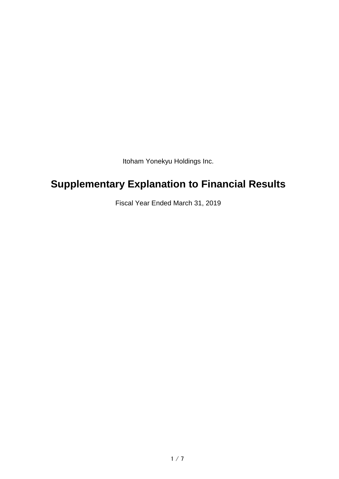Itoham Yonekyu Holdings Inc.

# **Supplementary Explanation to Financial Results**

Fiscal Year Ended March 31, 2019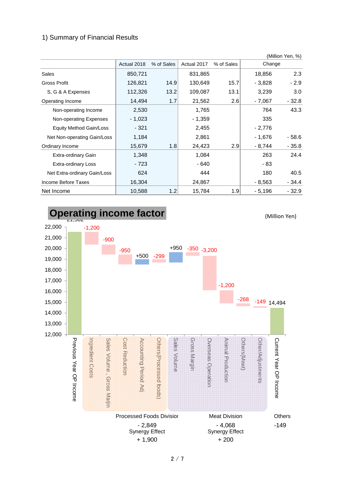### 1) Summary of Financial Results

|                              |             |            |             |                  |         | (Million Yen, %) |
|------------------------------|-------------|------------|-------------|------------------|---------|------------------|
|                              | Actual 2018 | % of Sales | Actual 2017 | % of Sales       | Change  |                  |
| Sales                        | 850,721     |            | 831,865     |                  | 18,856  | 2.3              |
| Gross Profit                 | 126,821     | 14.9       | 130,649     | 15.7             | - 3,828 | $-2.9$           |
| S, G & A Expenses            | 112,326     | 13.2       | 109,087     | 13.1             | 3,239   | 3.0              |
| Operating Income             | 14,494      | 1.7        | 21,562      | 2.6              | - 7.067 | $-32.8$          |
| Non-operating Income         | 2,530       |            | 1,765       |                  | 764     | 43.3             |
| Non-operating Expenses       | - 1,023     |            | - 1,359     |                  | 335     |                  |
| Equity Method Gain/Loss      | $-321$      |            | 2,455       |                  | - 2,776 |                  |
| Net Non-operating Gain/Loss  | 1,184       |            | 2,861       |                  | - 1.676 | $-58.6$          |
| Ordinary Income              | 15,679      | 1.8        | 24,423      | 2.9              | - 8,744 | $-35.8$          |
| Extra-ordinary Gain          | 1,348       |            | 1,084       |                  | 263     | 24.4             |
| <b>Extra-ordinary Loss</b>   | $-723$      |            | - 640       |                  | - 83    |                  |
| Net Extra-ordinary Gain/Loss | 624         |            | 444         |                  | 180     | 40.5             |
| Income Before Taxes          | 16,304      |            | 24,867      |                  | - 8.563 | $-34.4$          |
| Net Income                   | 10,588      | 1.2        | 15,784      | 1.9 <sub>l</sub> | - 5,196 | $-32.9$          |



2 / 7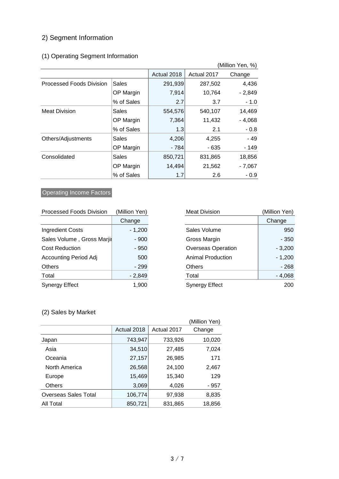# 2) Segment Information

# (1) Operating Segment Information

| (Million Yen, %)                |              |             |             |          |
|---------------------------------|--------------|-------------|-------------|----------|
|                                 |              | Actual 2018 | Actual 2017 | Change   |
| <b>Processed Foods Division</b> | <b>Sales</b> | 291,939     | 287,502     | 4,436    |
|                                 | OP Margin    | 7,914       | 10,764      | $-2,849$ |
|                                 | % of Sales   | 2.7         | 3.7         | $-1.0$   |
| <b>Meat Division</b>            | Sales        | 554,576     | 540,107     | 14,469   |
|                                 | OP Margin    | 7,364       | 11,432      | - 4,068  |
|                                 | % of Sales   | 1.3         | 2.1         | $-0.8$   |
| Others/Adjustments              | <b>Sales</b> | 4,206       | 4,255       | $-49$    |
|                                 | OP Margin    | - 784       | - 635       | - 149    |
| Consolidated                    | Sales        | 850,721     | 831,865     | 18,856   |
|                                 | OP Margin    | 14,494      | 21,562      | $-7,067$ |
|                                 | % of Sales   | 1.7         | 2.6         | $-0.9$   |

### **Operating Income Factors**

| <b>Processed Foods Division</b> | (Million Yen) | <b>Meat Division</b>      | (Million Yen) |
|---------------------------------|---------------|---------------------------|---------------|
|                                 | Change        |                           | Change        |
| <b>Ingredient Costs</b>         | $-1,200$      | Sales Volume              | 950           |
| Sales Volume, Gross Marjil      | $-900$        | Gross Margin              | $-350$        |
| <b>Cost Reduction</b>           | - 950         | <b>Overseas Operation</b> | $-3,200$      |
| <b>Accounting Period Adj</b>    | 500           | <b>Animal Production</b>  | $-1,200$      |
| Others                          | $-299$        | <b>Others</b>             | $-268$        |
| Total                           | $-2,849$      | Total                     | $-4,068$      |
| <b>Synergy Effect</b>           | 1.900         | <b>Synergy Effect</b>     | 200           |

| fillion Yen) | <b>Meat Division</b>      | (Million Yen) |
|--------------|---------------------------|---------------|
| Change       |                           | Change        |
| $-1,200$     | Sales Volume              | 950           |
| $-900$       | Gross Margin              | $-350$        |
| $-950$       | <b>Overseas Operation</b> | $-3,200$      |
| 500          | <b>Animal Production</b>  | $-1,200$      |
| - 299        | <b>Others</b>             | $-268$        |
| $-2,849$     | Total                     | $-4,068$      |
| 1,900        | Synergy Effect            | 200           |

### (2) Sales by Market

|                             |             |             | (Million Yen) |
|-----------------------------|-------------|-------------|---------------|
|                             | Actual 2018 | Actual 2017 | Change        |
| Japan                       | 743,947     | 733,926     | 10,020        |
| Asia                        | 34,510      | 27,485      | 7,024         |
| Oceania                     | 27,157      | 26,985      | 171           |
| North America               | 26,568      | 24,100      | 2,467         |
| Europe                      | 15,469      | 15,340      | 129           |
| <b>Others</b>               | 3,069       | 4,026       | - 957         |
| <b>Overseas Sales Total</b> | 106,774     | 97,938      | 8,835         |
| All Total                   | 850,721     | 831,865     | 18,856        |
|                             |             |             |               |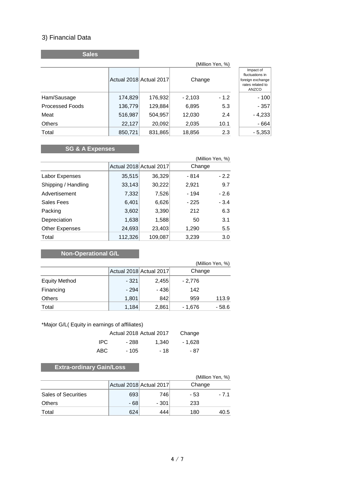### 3) Financial Data

**Sales**

|                        | (Million Yen, %) |                         |          |        |                                                                               |
|------------------------|------------------|-------------------------|----------|--------|-------------------------------------------------------------------------------|
|                        |                  | Actual 2018 Actual 2017 | Change   |        | Impact of<br>fluctuations in<br>foreign exchange<br>rates related to<br>ANZCO |
| Ham/Sausage            | 174,829          | 176,932                 | $-2,103$ | $-1.2$ | $-100$                                                                        |
| <b>Processed Foods</b> | 136,779          | 129,884                 | 6,895    | 5.3    | $-357$                                                                        |
| Meat                   | 516,987          | 504,957                 | 12,030   | 2.4    | $-4,233$                                                                      |
| <b>Others</b>          | 22,127           | 20,092                  | 2,035    | 10.1   | $-664$                                                                        |
| Total                  | 850,721          | 831,865                 | 18,856   | 2.3    | $-5,353$                                                                      |

# **SG & A Expenses**

| (Million Yen, %)      |         |                         |        |        |  |
|-----------------------|---------|-------------------------|--------|--------|--|
|                       |         | Actual 2018 Actual 2017 | Change |        |  |
| Labor Expenses        | 35,515  | 36,329                  | - 814  | $-2.2$ |  |
| Shipping / Handling   | 33,143  | 30,222                  | 2,921  | 9.7    |  |
| Advertisement         | 7,332   | 7,526                   | - 194  | $-2.6$ |  |
| Sales Fees            | 6,401   | 6,626                   | $-225$ | $-3.4$ |  |
| Packing               | 3,602   | 3,390                   | 212    | 6.3    |  |
| Depreciation          | 1,638   | 1,588                   | 50     | 3.1    |  |
| <b>Other Expenses</b> | 24,693  | 23,403                  | 1,290  | 5.5    |  |
| Total                 | 112,326 | 109,087                 | 3,239  | 3.0    |  |

# **Non-Operational G/L**

|                      |        |                         |         | (Million Yen, %) |
|----------------------|--------|-------------------------|---------|------------------|
|                      |        | Actual 2018 Actual 2017 | Change  |                  |
| <b>Equity Method</b> | - 321  | 2,455                   | - 2,776 |                  |
| Financing            | $-294$ | $-436$                  | 142     |                  |
| Others               | 1,801  | 842                     | 959     | 113.9            |
| Total                | 1,184  | 2,861                   | - 1,676 | $-58.6$          |

#### \*Major G/L( Equity in earnings of affiliates)

| Actual 2018 Actual 2017 | Change |       |         |
|-------------------------|--------|-------|---------|
| IPC.                    | - 288  | 1.340 | - 1.628 |
| ABC.                    | - 105  | - 18  | - 87    |

# **Extra-ordinary Gain/Loss**

|                            |       |                         | (Million Yen, %) |      |
|----------------------------|-------|-------------------------|------------------|------|
|                            |       | Actual 2018 Actual 2017 | Change           |      |
| <b>Sales of Securities</b> | 693   | 7461                    | - 53             | - 71 |
| <b>Others</b>              | $-68$ | - 301                   | 233              |      |
| Total                      | 624   | 444                     | 180              | 40.5 |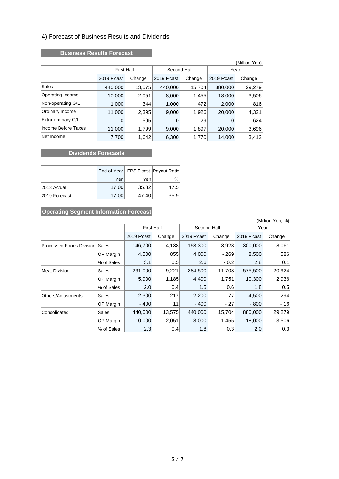#### 4) Forecast of Business Results and Dividends

#### **Business Results Forecast**

|                     |                   |        |             |        |             | (Million Yen) |  |
|---------------------|-------------------|--------|-------------|--------|-------------|---------------|--|
|                     | <b>First Half</b> |        | Second Half |        |             | Year          |  |
|                     | 2019 F'cast       | Change | 2019 F'cast | Change | 2019 F'cast | Change        |  |
| Sales               | 440,000           | 13,575 | 440,000     | 15,704 | 880,000     | 29,279        |  |
| Operating Income    | 10,000            | 2,051  | 8,000       | 1,455  | 18,000      | 3,506         |  |
| Non-operating G/L   | 1,000             | 344    | 1,000       | 472    | 2,000       | 816           |  |
| Ordinary Income     | 11,000            | 2,395  | 9,000       | 1,926  | 20,000      | 4,321         |  |
| Extra-ordinary G/L  | $\mathbf 0$       | $-595$ | 0           | $-29$  | $\mathbf 0$ | - 624         |  |
| Income Before Taxes | 11,000            | 1,799  | 9,000       | 1,897  | 20,000      | 3,696         |  |
| Net Income          | 7,700             | 1,642  | 6,300       | 1,770  | 14,000      | 3,412         |  |

#### **CONSIDERED EXECUTES** Dividends Forecasts

|               |       |       | End of Year   EPS F'cast   Payout Ratio |
|---------------|-------|-------|-----------------------------------------|
|               | Yen   | Yenl  | $\%$                                    |
| 2018 Actual   | 17.00 | 35.82 | 47.5                                    |
| 2019 Forecast | 17.00 | 47.40 | 35.9                                    |

### **Operating Segment Information Forecast**

| (Million Yen, %)                      |            |                   |        |             |        |             |        |
|---------------------------------------|------------|-------------------|--------|-------------|--------|-------------|--------|
|                                       |            | <b>First Half</b> |        | Second Half |        | Year        |        |
|                                       |            | 2019 F'cast       | Change | 2019 F'cast | Change | 2019 F'cast | Change |
| <b>Processed Foods Division Sales</b> |            | 146,700           | 4,138  | 153,300     | 3,923  | 300,000     | 8,061  |
|                                       | OP Margin  | 4,500             | 855    | 4,000       | - 269  | 8,500       | 586    |
|                                       | % of Sales | 3.1               | 0.5    | 2.6         | $-0.2$ | 2.8         | 0.1    |
| <b>Meat Division</b>                  | Sales      | 291,000           | 9,221  | 284,500     | 11,703 | 575,500     | 20,924 |
|                                       | OP Margin  | 5,900             | 1,185  | 4,400       | 1,751  | 10,300      | 2,936  |
|                                       | % of Sales | 2.0               | 0.4    | 1.5         | 0.6    | 1.8         | 0.5    |
| Others/Adjustments                    | Sales      | 2,300             | 217    | 2,200       | 77     | 4,500       | 294    |
|                                       | OP Margin  | - 400             | 11     | $-400$      | $-27$  | $-800$      | - 16   |
| Consolidated                          | Sales      | 440,000           | 13,575 | 440,000     | 15,704 | 880,000     | 29,279 |
|                                       | OP Margin  | 10,000            | 2,051  | 8,000       | 1,455  | 18,000      | 3,506  |
|                                       | % of Sales | 2.3               | 0.4    | 1.8         | 0.3    | 2.0         | 0.3    |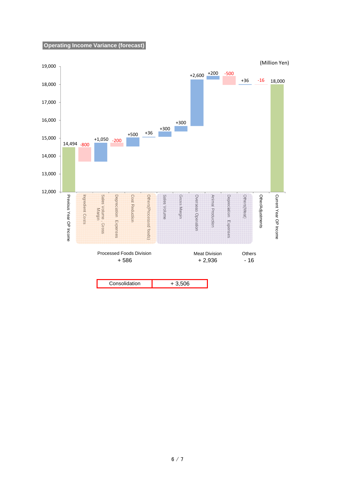#### **Operating Income Variance (forecast)**